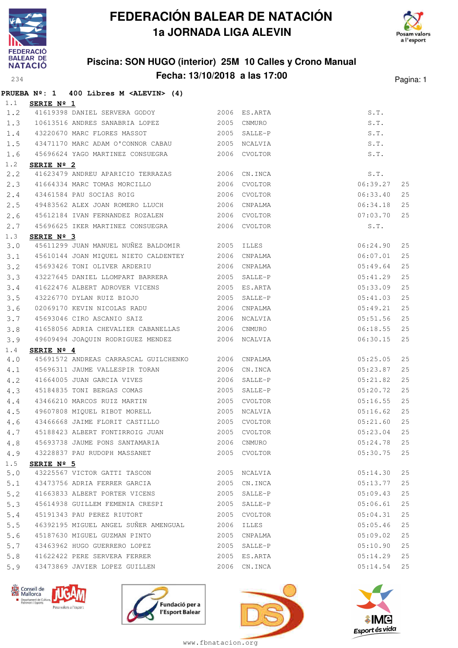

**PRUEBA Nº: 1 400 Libres M <ALEVIN> (4)**

# **FEDERACIÓN BALEAR DE NATACIÓN 1a JORNADA LIGA ALEVIN**



### **Piscina: SON HUGO (interior) 25M 10 Calles y Crono Manual Fecha: 13/10/2018 a las 17:00** Pagina: 1

| 1.1 | SERIE $N^{\circ}$ 1 |                                                                    |      |              |               |    |
|-----|---------------------|--------------------------------------------------------------------|------|--------------|---------------|----|
| 1.2 |                     | 41619398 DANIEL SERVERA GODOY 2006 ES.ARTA                         |      |              | S.T.          |    |
| 1.3 |                     | 10613516 ANDRES SANABRIA LOPEZ 2005                                |      | CNMURO       | S.T.          |    |
| 1.4 |                     | 43220670 MARC FLORES MASSOT                                        |      | 2005 SALLE-P | S.T.          |    |
| 1.5 |                     | 43471170 MARC ADAM O'CONNOR CABAU 2005 NCALVIA                     |      |              | S.T.          |    |
| 1.6 |                     | 45696624 YAGO MARTINEZ CONSUEGRA 2006 CVOLTOR                      |      |              | S.T.          |    |
| 1.2 | SERIE Nº 2          | 41623479 ANDREU APARICIO TERRAZAS 2006                             |      |              |               |    |
| 2.2 |                     |                                                                    |      | CN.INCA      | S.T.          |    |
| 2.3 |                     | 41664334 MARC TOMAS MORCILLO 2006<br>43461584 PAU SOCIAS ROIG 2006 |      | 2006 CVOLTOR | 06:39.27      | 25 |
| 2.4 |                     |                                                                    |      | CVOLTOR      | 06:33.40      | 25 |
| 2.5 |                     | 49483562 ALEX JOAN ROMERO LLUCH 2006                               |      | CNPALMA      | 06:34.18      | 25 |
| 2.6 |                     | 45612184 IVAN FERNANDEZ ROZALEN 2006 CVOLTOR                       |      |              | 07:03.70      | 25 |
| 2.7 |                     | 45696625 IKER MARTINEZ CONSUEGRA 2006 CVOLTOR                      |      |              | S.T.          |    |
| 1.3 | SERIE Nº 3          |                                                                    |      |              |               |    |
| 3.0 |                     | 45611299 JUAN MANUEL NUÑEZ BALDOMIR 2005 ILLES                     |      |              | 06:24.90      | 25 |
| 3.1 |                     | 45610144 JOAN MIQUEL NIETO CALDENTEY 2006                          |      | CNPALMA      | 06:07.01      | 25 |
| 3.2 |                     | 45693426 TONI OLIVER ARDERIU                                       | 2006 | CNPALMA      | 05:49.64      | 25 |
| 3.3 |                     | 43227645 DANIEL LLOMPART BARRERA 2005                              |      | SALLE-P      | 05:41.29      | 25 |
| 3.4 |                     | 41622476 ALBERT ADROVER VICENS 2005                                |      | ES.ARTA      | 05:33.09      | 25 |
| 3.5 |                     | 43226770 DYLAN RUIZ BIOJO 2005                                     |      | SALLE-P      | 05:41.03      | 25 |
| 3.6 |                     | 02069170 KEVIN NICOLAS RADU 2006 CNPALMA                           |      |              | 05:49.21      | 25 |
| 3.7 |                     | 45693046 CIRO ASCANIO SAIZ                                         | 2006 | NCALVIA      | 05:51.56      | 25 |
| 3.8 |                     | 41658056 ADRIA CHEVALIER CABANELLAS 2006                           |      | CNMURO       | 06:18.55      | 25 |
| 3.9 |                     | 49609494 JOAQUIN RODRIGUEZ MENDEZ 2006 NCALVIA                     |      |              | 06:30.15      | 25 |
| 1.4 | SERIE $N^{\circ}$ 4 |                                                                    |      |              |               |    |
| 4.0 |                     | 45691572 ANDREAS CARRASCAL GUILCHENKO 2006 CNPALMA                 |      |              | 05:25.05      | 25 |
| 4.1 |                     | 45696311 JAUME VALLESPIR TORAN 2006                                |      | CN.INCA      | 05:23.87      | 25 |
| 4.2 |                     | 41664005 JUAN GARCIA VIVES 2006                                    |      | SALLE-P      | 05:21.82      | 25 |
| 4.3 |                     | 45184835 TONI BERGAS COMAS 2005                                    |      | SALLE-P      | 05:20.72      | 25 |
| 4.4 |                     | 43466210 MARCOS RUIZ MARTIN                                        |      | 2005 CVOLTOR | 05:16.55      | 25 |
| 4.5 |                     | 49607808 MIQUEL RIBOT MORELL 2005                                  |      | NCALVIA      | 05:16.62      | 25 |
| 4.6 |                     | 43466668 JAIME FLORIT CASTILLO 2005                                |      | CVOLTOR      | 05:21.60      | 25 |
| 4.7 |                     | 45188423 ALBERT FONTIRROIG JUAN 2005 CVOLTOR                       |      |              | 05:23.04      | 25 |
|     |                     | 4.8 45693738 JAUME PONS SANTAMARIA 2006 CNMURO                     |      |              | $05:24.78$ 25 |    |
| 4.9 |                     | 43228837 PAU RUDOPH MASSANET                                       |      | 2005 CVOLTOR | 05:30.75      | 25 |
| 1.5 | SERIE $N^{\circ}$ 5 |                                                                    |      |              |               |    |
| 5.0 |                     |                                                                    |      |              | 05:14.30      | 25 |
| 5.1 |                     | 43473756 ADRIA FERRER GARCIA                                       | 2005 | CN.INCA      | 05:13.77      | 25 |
| 5.2 |                     | 41663833 ALBERT PORTER VICENS                                      | 2005 | SALLE-P      | 05:09.43      | 25 |
| 5.3 |                     | 45614938 GUILLEM FEMENIA CRESPI                                    | 2005 | SALLE-P      | 05:06.61      | 25 |
| 5.4 |                     | 45191343 PAU PEREZ RIUTORT                                         | 2005 | CVOLTOR      | 05:04.31      | 25 |
| 5.5 |                     | 46392195 MIGUEL ANGEL SUÑER AMENGUAL 2006                          |      | <b>ILLES</b> | 05:05.46      | 25 |
| 5.6 |                     | 45187630 MIGUEL GUZMAN PINTO                                       |      | 2005 CNPALMA | 05:09.02      | 25 |
| 5.7 |                     | 43463962 HUGO GUERRERO LOPEZ                                       | 2005 | SALLE-P      | 05:10.90      | 25 |
| 5.8 |                     | 41622422 PERE SERVERA FERRER                                       | 2005 | ES.ARTA      | 05:14.29      | 25 |
| 5.9 |                     | 43473869 JAVIER LOPEZ GUILLEN                                      |      | 2006 CN.INCA | 05:14.54      | 25 |







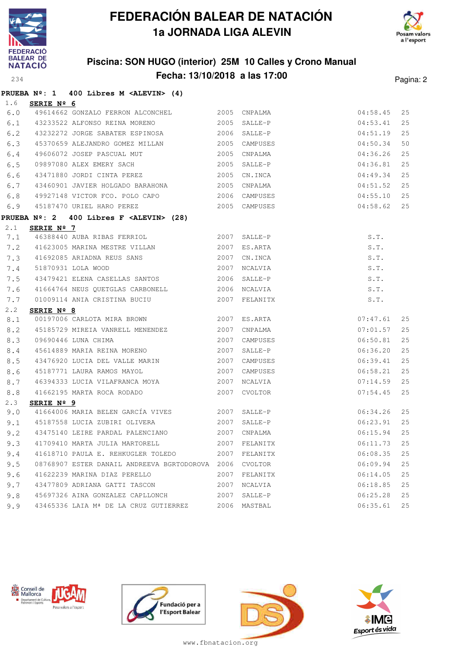



## **Piscina: SON HUGO (interior) 25M 10 Calles y Crono Manual Fecha: 13/10/2018 a las 17:00** Pagina: 2

|     | PRUEBA $N^{\circ}$ : 1 400 Libres M <alevin> (4)</alevin> |      |                                               |          |    |
|-----|-----------------------------------------------------------|------|-----------------------------------------------|----------|----|
| 1.6 | SERIE Nº 6                                                |      |                                               |          |    |
|     | 6.0 49614662 GONZALO FERRON ALCONCHEL 2005 CNPALMA        |      |                                               | 04:58.45 | 25 |
|     | 6.1 43233522 ALFONSO REINA MORENO 2005                    |      | SALLE-P                                       | 04:53.41 | 25 |
| 6.2 | 43232272 JORGE SABATER ESPINOSA                           |      | 2006 SALLE-P                                  | 04:51.19 | 25 |
| 6.3 | 45370659 ALEJANDRO GOMEZ MILLAN 2005                      |      | CAMPUSES                                      | 04:50.34 | 50 |
| 6.4 | 49606072 JOSEP PASCUAL MUT                                | 2005 | CNPALMA                                       | 04:36.26 | 25 |
| 6.5 | 09897080 ALEX EMERY SACH 2005                             |      | SALLE-P                                       | 04:36.81 | 25 |
| 6.6 | 43471880 JORDI CINTA PEREZ                                | 2005 | CN.INCA                                       | 04:49.34 | 25 |
| 6.7 | 43460901 JAVIER HOLGADO BARAHONA 2005                     |      | CNPALMA                                       | 04:51.52 | 25 |
| 6.8 | 49927148 VICTOR FCO. POLO CAPO                            |      |                                               | 04:55.10 | 25 |
| 6.9 | 2005 CAMPUSES<br>45187470 URIEL HARO PEREZ                |      | 2005 C.MPUSES<br>2006 CAMPUSES<br>-- CAMPUSES | 04:58.62 | 25 |
|     | PRUEBA Nº: 2 400 Libres F <alevin> (28)</alevin>          |      |                                               |          |    |
| 2.1 | SERIE Nº 7                                                |      |                                               |          |    |
|     | 7.1 46388440 AUBA RIBAS FERRIOL                           |      | 2007 SALLE-P                                  | S.T.     |    |
|     | 7.2 41623005 MARINA MESTRE VILLAN 2007                    |      | ES.ARTA                                       | S.T.     |    |
|     | 7.3 41692085 ARIADNA REUS SANS                            | 2007 | CN.INCA                                       | S.T.     |    |
| 7.4 | 51870931 LOLA WOOD                                        | 2007 | NCALVIA                                       | S.T.     |    |
| 7.5 | 43479421 ELENA CASELLAS SANTOS                            |      | 2006 SALLE-P                                  | S.T.     |    |
| 7.6 | 41664764 NEUS QUETGLAS CARBONELL 2006 NCALVIA             |      |                                               | S.T.     |    |
| 7.7 | 01009114 ANIA CRISTINA BUCIU<br>2007 FELANITX             |      |                                               | S.T.     |    |
| 2.2 | SERIE Nº 8                                                |      |                                               |          |    |
| 8.1 | 00197006 CARLOTA MIRA BROWN 2007 ES.ARTA                  |      |                                               | 07:47.61 | 25 |
| 8.2 | 45185729 MIREIA VANRELL MENENDEZ                          | 2007 | CNPALMA                                       | 07:01.57 | 25 |
| 8.3 | 09690446 LUNA CHIMA                                       | 2007 | CAMPUSES                                      | 06:50.81 | 25 |
| 8.4 | 45614889 MARIA REINA MORENO                               | 2007 | SALLE-P                                       | 06:36.20 | 25 |
| 8.5 | 43476920 LUCIA DEL VALLE MARIN                            | 2007 | CAMPUSES                                      | 06:39.41 | 25 |
| 8.6 | 45187771 LAURA RAMOS MAYOL                                | 2007 | CAMPUSES                                      | 06:58.21 | 25 |
| 8.7 | 46394333 LUCIA VILAFRANCA MOYA 2007                       |      | NCALVIA                                       | 07:14.59 | 25 |
| 8.8 | 41662195 MARTA ROCA RODADO                                |      | 2007 CVOLTOR                                  | 07:54.45 | 25 |
| 2.3 | SERIE Nº 9                                                |      |                                               |          |    |
|     | 9.0 41664006 MARIA BELEN GARCÍA VIVES 2007 SALLE-P        |      |                                               | 06:34.26 | 25 |
|     | 9.1 45187558 LUCIA ZUBIRI OLIVERA                         |      | 2007 SALLE-P                                  | 06:23.91 | 25 |
| 9.2 | 43475140 LEIRE PARDAL PALENCIANO 2007 CNPALMA             |      |                                               | 06:15.94 | 25 |
| 9.3 | 41709410 MARTA JULIA MARTORELL                            | 2007 | FELANITX                                      | 06:11.73 | 25 |
| 9.4 | 41618710 PAULA E. REHKUGLER TOLEDO                        | 2007 | FELANITX                                      | 06:08.35 | 25 |
| 9.5 | 08768907 ESTER DANAIL ANDREEVA BGRTODOROVA 2006           |      | CVOLTOR                                       | 06:09.94 | 25 |
| 9.6 | 41622239 MARINA DIAZ PERELLO                              | 2007 | FELANITX                                      | 06:14.05 | 25 |
| 9.7 | 43477809 ADRIANA GATTI TASCON                             | 2007 | NCALVIA                                       | 06:18.85 | 25 |
| 9.8 | 45697326 AINA GONZALEZ CAPLLONCH                          | 2007 | SALLE-P                                       | 06:25.28 | 25 |
| 9.9 | 43465336 LAIA Mª DE LA CRUZ GUTIERREZ 2006 MASTBAL        |      |                                               | 06:35.61 | 25 |







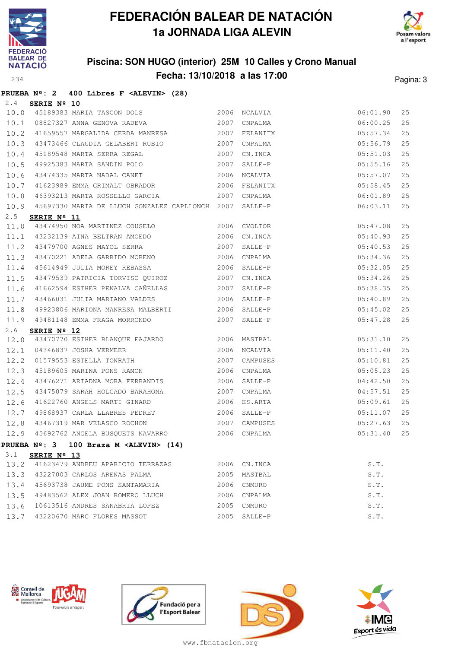



## **Piscina: SON HUGO (interior) 25M 10 Calles y Crono Manual Fecha: 13/10/2018 a las 17:00** Pagina: 3

|                   |  |  | PRUEBA Nº: 2 400 Libres F <alevin> (28)</alevin> |  |
|-------------------|--|--|--------------------------------------------------|--|
| $2.4$ SERIE Nº 10 |  |  |                                                  |  |

| 10.0        |                      |                                                                                                                                                                                                                    |      |                                        | 06:01.90 | 25 |
|-------------|----------------------|--------------------------------------------------------------------------------------------------------------------------------------------------------------------------------------------------------------------|------|----------------------------------------|----------|----|
| 10.1        |                      |                                                                                                                                                                                                                    |      |                                        | 06:00.25 | 25 |
| 10.2        |                      |                                                                                                                                                                                                                    |      |                                        | 05:57.34 | 25 |
|             |                      | 10.3 43473466 CLAUDIA GELABERT RUBIO 2007 CNPALMA                                                                                                                                                                  |      |                                        | 05:56.79 | 25 |
| 10.4        |                      | 45189383 MARIA TASCON DOLS<br>08827327 ANNA GENOVA RADEVA<br>41659557 MARGALIDA CERDA MANRESA<br>43473466 CLAUDIA GELABERT RUBIO<br>45189548 MARTA SERRA REGAL<br>45189548 MARTA SERRA REGAL<br>40005000 WPTN POLO |      |                                        | 05:51.03 | 25 |
| 10.5        |                      | 49925383 MARTA SANDIN POLO 2007                                                                                                                                                                                    |      | $SALLE-P$                              | 05:55.16 | 25 |
| 10.6        |                      | 43474335 MARTA NADAL CANET 2006                                                                                                                                                                                    |      | NCALVIA                                | 05:57.07 | 25 |
| 10.7        |                      | 41623989 EMMA GRIMALT OBRADOR                                                                                                                                                                                      |      | 2006 FELANITX                          | 05:58.45 | 25 |
| 10.8        |                      | 46393213 MARTA ROSSELLO GARCIA 2007                                                                                                                                                                                |      | CNPALMA                                | 06:01.89 | 25 |
|             |                      | 10.9 45697330 MARIA DE LLUCH GONZALEZ CAPLLONCH 2007                                                                                                                                                               |      | SALLE-P                                | 06:03.11 | 25 |
| 2.5         | SERIE $N^{\circ}$ 11 |                                                                                                                                                                                                                    |      |                                        |          |    |
|             |                      | 11.0 43474950 NOA MARTINEZ COUSELO 2006 CVOLTOR                                                                                                                                                                    |      | $05:47.08$<br>$05:40.93$<br>$05:40.53$ |          | 25 |
|             |                      | 11.1 43232139 AINA BELTRAN AMOEDO                                                                                                                                                                                  |      | 2006 CN.INCA                           |          | 25 |
|             |                      | 11.2 43479700 AGNES MAYOL SERRA 2007                                                                                                                                                                               |      | SALLE-P                                |          | 25 |
| 11.3        |                      | 43470221 ADELA GARRIDO MORENO 2006                                                                                                                                                                                 |      | CNPALMA                                | 05:34.36 | 25 |
| 11.4        |                      | 45614949 JULIA MOREY REBASSA 2006                                                                                                                                                                                  |      | $SALLE-P$                              | 05:32.05 | 25 |
| 11.5        |                      | 43479539 PATRICIA TORVISO QUIROZ 2007                                                                                                                                                                              |      | CN.INCA                                | 05:34.26 | 25 |
| 11.6        |                      | 41662594 ESTHER PENALVA CAÑELLAS 2007                                                                                                                                                                              |      | 05:38.35<br>SALLE-P                    |          | 25 |
| 11.7        |                      | 43466031 JULIA MARIANO VALDES 2006                                                                                                                                                                                 |      | 05:40.89<br>SALLE-P                    |          | 25 |
|             |                      | 11.8 49923806 MARIONA MANRESA MALBERTI 2006 SALLE-P                                                                                                                                                                |      |                                        | 05:45.02 | 25 |
|             |                      | 11.9 49481148 EMMA FRAGA MORRONDO                                                                                                                                                                                  | 2007 | SALLE-P                                | 05:47.28 | 25 |
| 2.6         | SERIE $N^{\circ}$ 12 |                                                                                                                                                                                                                    |      |                                        |          |    |
|             |                      | 12.0 43470770 ESTHER BLANQUE FAJARDO 2006 MASTBAL                                                                                                                                                                  |      |                                        | 05:31.10 | 25 |
|             |                      | 12.1 04346837 JOSHA VERMEER 2006                                                                                                                                                                                   |      | NCALVIA                                | 05:11.40 | 25 |
| 12.2        |                      | 01579553 ESTELLA TONRATH 2007                                                                                                                                                                                      |      | CAMPUSES                               | 05:10.81 | 25 |
| 12.3        |                      | 2006<br>45189605 MARINA PONS RAMON                                                                                                                                                                                 |      | CNPALMA                                | 05:05.23 | 25 |
| 12.4        |                      | 43476271 ARIADNA MORA FERRANDIS 2006                                                                                                                                                                               |      | SALLE-P                                | 04:42.50 | 25 |
| 12.5        |                      | 43475079 SARAH HOLGADO BARAHONA 2007                                                                                                                                                                               |      | CNPALMA                                | 04:57.51 | 25 |
|             |                      | 12.6 41622760 ANGELS MARTI GINARD                                                                                                                                                                                  |      | 2006 ES.ARTA                           | 05:09.61 | 25 |
| 12.7        |                      | 49868937 CARLA LLABRES PEDRET 2006 SALLE-P                                                                                                                                                                         |      |                                        | 05:11.07 | 25 |
| 12.8        |                      | 43467319 MAR VELASCO ROCHON 2007                                                                                                                                                                                   |      | CAMPUSES                               | 05:27.63 | 25 |
|             |                      | 12.9 45692762 ANGELA BUSQUETS NAVARRO 2006                                                                                                                                                                         |      | CNPALMA                                | 05:31.40 | 25 |
|             |                      | PRUEBA $N^{\circ}$ : 3 100 Braza M <alevin> (14)</alevin>                                                                                                                                                          |      |                                        |          |    |
| $3 \cdot 1$ | SERIE Nº 13          |                                                                                                                                                                                                                    |      |                                        |          |    |
| 13.2        |                      | 41623479 ANDREU APARICIO TERRAZAS                                                                                                                                                                                  | 2006 | CN.INCA                                | S.T.     |    |
| 13.3        |                      | 43227003 CARLOS ARENAS PALMA                                                                                                                                                                                       | 2005 | MASTBAL                                | S.T.     |    |
| 13.4        |                      | 45693738 JAUME PONS SANTAMARIA                                                                                                                                                                                     | 2006 | CNMURO                                 | S.T.     |    |
| 13.5        |                      | 49483562 ALEX JOAN ROMERO LLUCH                                                                                                                                                                                    | 2006 | CNPALMA                                | S.T.     |    |
| 13.6        |                      | 10613516 ANDRES SANABRIA LOPEZ                                                                                                                                                                                     | 2005 | CNMURO                                 | S.T.     |    |
| 13.7        |                      | 43220670 MARC FLORES MASSOT                                                                                                                                                                                        | 2005 | SALLE-P                                | S.T.     |    |







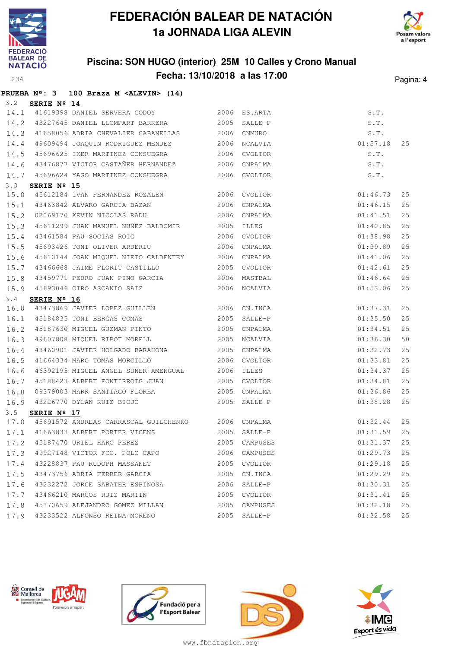

**PRUEBA Nº: 3 100 Braza M <ALEVIN> (14)**

# **FEDERACIÓN BALEAR DE NATACIÓN 1a JORNADA LIGA ALEVIN**



## **Piscina: SON HUGO (interior) 25M 10 Calles y Crono Manual Fecha: 13/10/2018 a las 17:00** Pagina: 4

| 3.2  | SERIE Nº 14          |                                                          |      |                                  |               |    |
|------|----------------------|----------------------------------------------------------|------|----------------------------------|---------------|----|
| 14.1 |                      | 41619398 DANIEL SERVERA GODOY 2006 ES.ARTA               |      |                                  |               |    |
| 14.2 |                      | 43227645 DANIEL LLOMPART BARRERA 2005                    |      | SALLE-P                          |               |    |
| 14.3 |                      | 41658056 ADRIA CHEVALIER CABANELLAS 2006 CNMURO          |      |                                  |               |    |
| 14.4 |                      | 49609494 JOAQUIN RODRIGUEZ MENDEZ 2006 NCALVIA           |      | S.T.<br>S.T.<br>S.T.<br>01:57.18 |               | 25 |
| 14.5 |                      | 45696625 IKER MARTINEZ CONSUEGRA 2006                    |      | CVOLTOR                          | S.T.          |    |
| 14.6 |                      | 43476877 VICTOR CASTAÑER HERNANDEZ 2006                  |      | CNPALMA                          | S.T.          |    |
| 14.7 |                      | 45696624 YAGO MARTINEZ CONSUEGRA 2006 CVOLTOR            |      |                                  | S.T.          |    |
| 3.3  | SERIE Nº 15          |                                                          |      |                                  |               |    |
| 15.0 |                      | 45612184 IVAN FERNANDEZ ROZALEN 2006 CVOLTOR             |      |                                  | 01:46.73      | 25 |
| 15.1 |                      | 43463842 ALVARO GARCIA BAZAN 2006                        |      | CNPALMA                          | 01:46.15      | 25 |
| 15.2 |                      | 02069170 KEVIN NICOLAS RADU 2006                         |      | CNPALMA                          | 01:41.51      | 25 |
| 15.3 |                      | 45611299 JUAN MANUEL NUÑEZ BALDOMIR 2005 ILLES           |      |                                  | 01:40.85      | 25 |
| 15.4 |                      |                                                          |      |                                  | 01:38.98      | 25 |
| 15.5 |                      | 45693426 TONI OLIVER ARDERIU 2006                        |      | CNPALMA                          | 01:39.89      | 25 |
| 15.6 |                      | 45610144 JOAN MIQUEL NIETO CALDENTEY 2006                |      | CNPALMA                          | 01:41.06      | 25 |
| 15.7 |                      | 43466668 JAIME FLORIT CASTILLO                           |      | 2005 CVOLTOR                     | 01:42.61      | 25 |
| 15.8 |                      | 43459771 PEDRO JUAN PINO GARCIA 62006 MASTBAL            |      |                                  | 01:46.64      | 25 |
| 15.9 |                      | 45693046 CIRO ASCANIO SAIZ 2006 NCALVIA                  |      |                                  | 01:53.06      | 25 |
| 3.4  | SERIE Nº 16          |                                                          |      |                                  |               |    |
| 16.0 |                      | 43473869 JAVIER LOPEZ GUILLEN 2006 CN.INCA               |      |                                  | 01:37.31      | 25 |
| 16.1 |                      | 45184835 TONI BERGAS COMAS 2005 SALLE-P                  |      |                                  | 01:35.50      | 25 |
| 16.2 |                      | 45187630 MIGUEL GUZMAN PINTO 2005                        |      | CNPALMA                          | 01:34.51      | 25 |
| 16.3 |                      | 49607808 MIQUEL RIBOT MORELL 2005                        |      | NCALVIA                          | 01:36.30      | 50 |
| 16.4 |                      | 43460901 JAVIER HOLGADO BARAHONA 2005                    |      | CNPALMA                          | 01:32.73      | 25 |
| 16.5 |                      | 41664334 MARC TOMAS MORCILLO                             | 2006 | CVOLTOR                          | 01:33.81      | 25 |
| 16.6 |                      | 46392195 MIGUEL ANGEL SUÑER AMENGUAL 2006                |      | ILLES                            | 01:34.37      | 25 |
| 16.7 |                      | 45188423 ALBERT FONTIRROIG JUAN 2005                     |      | CVOLTOR                          | 01:34.81      | 25 |
| 16.8 |                      | 09379003 MARK SANTIAGO FLOREA 2005 CNPALMA               |      |                                  | 01:36.86      | 25 |
| 16.9 |                      | 43226770 DYLAN RUIZ BIOJO 2005 SALLE-P                   |      |                                  | 01:38.28      | 25 |
| 3.5  | SERIE $N^{\circ}$ 17 |                                                          |      |                                  |               |    |
|      |                      | 17.0 45691572 ANDREAS CARRASCAL GUILCHENKO 2006 CNPALMA  |      | 01:32.44                         |               | 25 |
|      |                      | 17.1 41663833 ALBERT PORTER VICENS 2005 SALLE-P          |      |                                  | 01:31.59      | 25 |
|      |                      | 17.2 45187470 URIEL HARO PEREZ 2005 CAMPUSES 01:31.37 25 |      |                                  |               |    |
|      |                      | 17.3 49927148 VICTOR FCO. POLO CAPO                      |      | 2006 CAMPUSES                    | 01:29.73      | 25 |
|      |                      | 17.4 43228837 PAU RUDOPH MASSANET 2005 CVOLTOR           |      |                                  | 01:29.18      | 25 |
|      |                      | 17.5 43473756 ADRIA FERRER GARCIA                        | 2005 | CN.INCA                          | 01:29.29      | 25 |
|      |                      | 17.6 43232272 JORGE SABATER ESPINOSA                     |      | 2006 SALLE-P                     | 01:30.31      | 25 |
| 17.7 |                      | 43466210 MARCOS RUIZ MARTIN                              |      | 2005 CVOLTOR                     | 01:31.41      | 25 |
|      |                      | 17.8 45370659 ALEJANDRO GOMEZ MILLAN 2005 CAMPUSES       |      |                                  | 01:32.18      | 25 |
|      |                      | 17.9 43233522 ALFONSO REINA MORENO                       |      | 2005 SALLE-P                     | $01:32.58$ 25 |    |







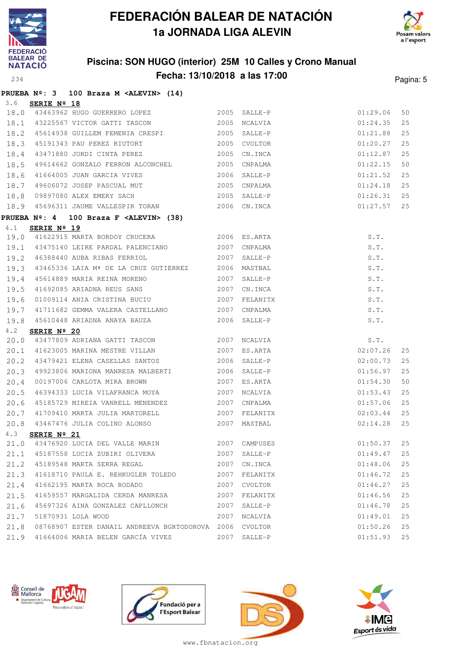



## **Piscina: SON HUGO (interior) 25M 10 Calles y Crono Manual Fecha: 13/10/2018 a las 17:00** Pagina: 5

| 3.6          | PRUEBA Nº: 3 100 Braza M <alevin> (14)<br/>SERIE Nº 18</alevin>        |      |                     |                      |          |
|--------------|------------------------------------------------------------------------|------|---------------------|----------------------|----------|
| 18.0         | 43463962 HUGO GUERRERO LOPEZ 2005 SALLE-P                              |      |                     | 01:29.06             | 50       |
| 18.1         | 43225567 VICTOR GATTI TASCON 2005                                      |      | NCALVIA             | 01:24.35             | 25       |
| 18.2         | 45614938 GUILLEM FEMENIA CRESPI                                        | 2005 | SALLE-P             | 01:21.88             | 25       |
| 18.3         |                                                                        | 2005 | CVOLTOR             | 01:20.27             | 25       |
| 18.4         | 45191343 PAU PEREZ RIUTORT (2005)<br>43471880 JORDI CINTA PEREZ (2005) |      | CN.INCA             | 01:12.87             | 25       |
| 18.5         | 49614662 GONZALO FERRON ALCONCHEL 2005                                 |      | CNPALMA             | 01:22.15             | 50       |
| 18.6         | 41664005 JUAN GARCIA VIVES 2006<br>49606072 JOSEP PASCUAL MUT 2005     |      | SALLE-P             | 01:21.52             | 25       |
| 18.7         |                                                                        |      | CNPALMA             | 01:24.18             | 25       |
| 18.8         | 09897080 ALEX EMERY SACH 2005                                          |      | SALLE-P             | 01:26.31             | 25       |
| 18.9         | 45696311 JAUME VALLESPIR TORAN 2006 CN.INCA                            |      |                     | 01:27.57             | 25       |
|              | PRUEBA Nº: 4 100 Braza F <alevin> (38)</alevin>                        |      |                     |                      |          |
| 4.1          | SERIE Nº 19                                                            |      |                     |                      |          |
| 19.0         | 41622915 MARTA BORDOY CRUCERA 2006 ES.ARTA                             |      |                     | S.T.                 |          |
| 19.1         | 43475140 LEIRE PARDAL PALENCIANO 2007                                  |      | CNPALMA             | S.T.                 |          |
| 19.2         | 2007<br>46388440 AUBA RIBAS FERRIOL                                    |      | SALLE-P             | S.T.                 |          |
| 19.3         | 43465336 LAIA Mª DE LA CRUZ GUTIERREZ 2006                             |      | MASTBAL             | S.T.                 |          |
| 19.4         | 45614889 MARIA REINA MORENO 2007                                       |      | SALLE-P             | S.T.                 |          |
| 19.5         | 41692085 ARIADNA REUS SANS                                             | 2007 | CN.INCA             | S.T.                 |          |
| 19.6         | 01009114 ANIA CRISTINA BUCIU                                           | 2007 | FELANITX            | S.T.                 |          |
| 19.7         | 41711682 GEMMA VALERA CASTELLANO                                       | 2007 | CNPALMA             | S.T.                 |          |
| 19.8         | 45610448 ARIADNA ANAYA BAUZA 2006                                      |      | SALLE-P             | S.T.                 |          |
| 4.2          | SERIE Nº 20<br>43477809 ADRIANA GATTI TASCON                           |      |                     |                      |          |
| 20.0         | 41623005 MARINA MESTRE VILLAN                                          | 2007 | NCALVIA             | S.T.                 |          |
| 20.1         |                                                                        | 2007 | ES.ARTA             | 02:07.26             | 25       |
| 20.2         | 43479421 ELENA CASELLAS SANTOS                                         | 2006 | SALLE-P             | 02:00.73             | 25       |
| 20.3         | 49923806 MARIONA MANRESA MALBERTI 2006                                 |      | SALLE-P             | 01:56.97             | 25       |
| 20.4         | 00197006 CARLOTA MIRA BROWN<br>46394333 LUCIA VILAFRANCA MOYA          | 2007 | ES.ARTA             | 01:54.30             | 50       |
| 20.5         |                                                                        | 2007 | NCALVIA<br>CNPALMA  | 01:53.43             | 25       |
| 20.6         | 45185729 MIREIA VANRELL MENENDEZ 2007                                  |      |                     | 01:57.06             | 25<br>25 |
| 20.7<br>20.8 | 41709410 MARTA JULIA MARTORELL 2007                                    | 2007 | FELANITX<br>MASTBAL | 02:03.44<br>02:14.28 | 25       |
| 4.3          | 43467476 JULIA COLINO ALONSO<br>SERIE Nº 21                            |      |                     |                      |          |
| 21.0         | 43476920 LUCIA DEL VALLE MARIN                                         | 2007 | CAMPUSES            | 01:50.37             | 25       |
| 21.1         | 45187558 LUCIA ZUBIRI OLIVERA                                          | 2007 | SALLE-P             | 01:49.47             | 25       |
| 21.2         | 45189548 MARTA SERRA REGAL                                             | 2007 | CN.INCA             | 01:48.06             | 25       |
| 21.3         | 41618710 PAULA E. REHKUGLER TOLEDO                                     | 2007 | FELANITX            | 01:46.72             | 25       |
| 21.4         | 41662195 MARTA ROCA RODADO                                             | 2007 | CVOLTOR             | 01:46.27             | 25       |
| 21.5         | 41659557 MARGALIDA CERDA MANRESA                                       | 2007 | FELANITX            | 01:46.56             | 25       |
| 21.6         | 45697326 AINA GONZALEZ CAPLLONCH                                       | 2007 | SALLE-P             | 01:46.78             | 25       |
| 21.7         | 51870931 LOLA WOOD                                                     | 2007 | NCALVIA             | 01:49.01             | 25       |
| 21.8         | 08768907 ESTER DANAIL ANDREEVA BGRTODOROVA 2006 CVOLTOR                |      |                     | 01:50.26             | 25       |
| 21.9         | 41664006 MARIA BELEN GARCÍA VIVES                                      |      | 2007 SALLE-P        | 01:51.93             | 25       |







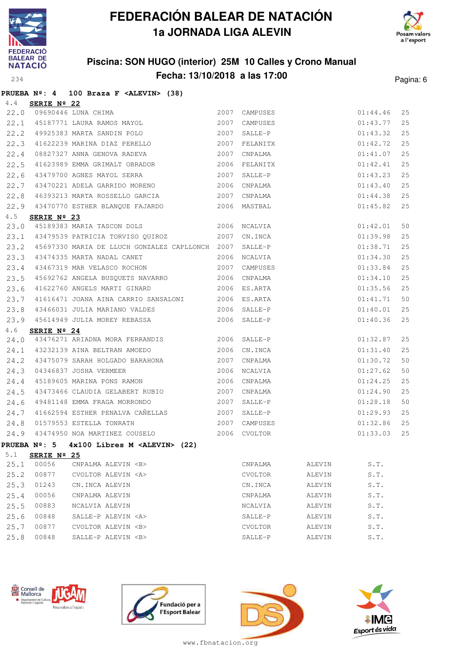



### **Piscina: SON HUGO (interior) 25M 10 Calles y Crono Manual Fecha: 13/10/2018 a las 17:00** Pagina: 6

|  |  |  | PRUEBA $N^{\circ}$ : 4 100 Braza F <alevin> (38)</alevin> |  |
|--|--|--|-----------------------------------------------------------|--|

|      |             | 4.4 <b>SERIE Nº 22</b><br>22.0 09690446 LUNA CHIMA<br>22.1 45187771 LAURA RAMOS MAYOL<br>2007 | 2007 CAMPUSES |                                              |                               | 25 |
|------|-------------|-----------------------------------------------------------------------------------------------|---------------|----------------------------------------------|-------------------------------|----|
|      |             |                                                                                               | CAMPUSES      |                                              |                               | 25 |
|      |             | 22.2 49925383 MARTA SANDIN POLO 2007                                                          | SALLE-P       | 01:44.46<br>01:43.77<br>01:43.32<br>01:42.72 |                               | 25 |
| 22.3 |             |                                                                                               |               |                                              |                               | 25 |
| 22.4 |             | 08827327 ANNA GENOVA RADEVA 2007 CNPALMA                                                      |               |                                              | 01:41.07                      | 25 |
| 22.5 |             | 41623989 EMMA GRIMALT OBRADOR 2006                                                            | FELANITX      |                                              | 01:42.41                      | 25 |
| 22.6 |             | 43479700 AGNES MAYOL SERRA 2007                                                               | SALLE-P       |                                              | 01:43.23                      | 25 |
| 22.7 |             | 43470221 ADELA GARRIDO MORENO 2006                                                            | CNPALMA       |                                              | 01:43.40                      | 25 |
| 22.8 |             | 46393213 MARTA ROSSELLO GARCIA                                                                | 2007 CNPALMA  |                                              | 01:44.38                      | 25 |
|      |             | 22.9 43470770 ESTHER BLANQUE FAJARDO 2006 MASTBAL                                             |               |                                              | 01:45.82                      | 25 |
| 4.5  | SERIE Nº 23 |                                                                                               |               |                                              |                               |    |
| 23.0 |             | <b>EXIE N<sup>2</sup> Z3</b><br>45189383 MARIA TASCON DOLS 2006 NCALVIA                       |               | $01:42.01$<br>$01:39.98$                     |                               | 50 |
|      |             | 23.1 43479539 PATRICIA TORVISO QUIROZ 2007 CN.INCA                                            |               |                                              |                               | 25 |
|      |             | 23.2 45697330 MARIA DE LLUCH GONZALEZ CAPLLONCH 2007 SALLE-P                                  |               | $01:38.71$<br>$01:34.30$                     |                               | 25 |
| 23.3 |             | 43474335 MARTA NADAL CANET 2006 NCALVIA                                                       |               |                                              |                               | 25 |
| 23.4 |             | 43467319 MAR VELASCO ROCHON 2007 CAMPUSES                                                     |               |                                              | 01:33.84                      | 25 |
| 23.5 |             | 45692762 ANGELA BUSQUETS NAVARRO 2006 CNPALMA                                                 |               |                                              | 01:34.10                      | 25 |
| 23.6 |             | 41622760 ANGELS MARTI GINARD 2006 ES.ARTA                                                     |               |                                              | 01:35.56                      | 25 |
| 23.7 |             | 41616471 JOANA AINA CARRIO SANSALONI 2006 ES.ARTA                                             |               | 01:41.71                                     |                               | 50 |
| 23.8 |             | 43466031 JULIA MARIANO VALDES 2006 SALLE-P                                                    |               | $01:40.01$<br>$01:40.36$                     |                               | 25 |
|      |             | 23.9 45614949 JULIA MOREY REBASSA 2006 SALLE-P                                                |               |                                              |                               | 25 |
| 4.6  | SERIE Nº 24 |                                                                                               |               |                                              |                               |    |
|      |             | 24.0 43476271 ARIADNA MORA FERRANDIS 2006 SALLE-P                                             |               |                                              | 01:32.87                      | 25 |
|      |             | 24.1 43232139 AINA BELTRAN AMOEDO 2006 CN.INCA                                                |               | 01:31.40                                     |                               | 25 |
| 24.2 |             | 43475079 SARAH HOLGADO BARAHONA 2007                                                          | CNPALMA       |                                              | 01:30.72                      | 50 |
| 24.3 |             | 04346837 JOSHA VERMEER 2006 NCALVIA                                                           |               |                                              | 01:27.62                      | 50 |
| 24.4 |             | 45189605 MARINA PONS RAMON 2006 CNPALMA                                                       |               |                                              | 01:24.25                      | 25 |
| 24.5 |             | 43473466 CLAUDIA GELABERT RUBIO 2007                                                          | CNPALMA       | 01:24.90                                     |                               | 25 |
| 24.6 |             | 49481148 EMMA FRAGA MORRONDO 2007                                                             |               |                                              |                               | 50 |
|      |             |                                                                                               | SALLE-P       | 01:28.18                                     |                               |    |
|      |             |                                                                                               |               |                                              | 01:29.93                      | 25 |
|      |             | 24.7 41662594 ESTHER PENALVA CAÑELLAS 2007 SALLE-P                                            |               |                                              | 01:32.86                      | 25 |
| 24.9 |             | 24.8 01579553 ESTELLA TONRATH 2007 CAMPUSES<br>43474950 NOA MARTINEZ COUSELO 2006 CVOLTOR     |               |                                              | 01:33.03                      | 25 |
|      |             | PRUEBA Nº: 5 $4x100$ Libres M <alevin> (22)</alevin>                                          |               |                                              |                               |    |
| 5.1  | SERIE Nº 25 |                                                                                               |               |                                              |                               |    |
| 25.1 | 00056       | CNPALMA ALEVIN <b></b>                                                                        | CNPALMA       | ALEVIN                                       | S.T.                          |    |
| 25.2 | 00877       | CVOLTOR ALEVIN <a></a>                                                                        | CVOLTOR       | ALEVIN                                       | $\texttt{S}$ . $\texttt{T}$ . |    |
| 25.3 | 01243       | CN.INCA ALEVIN                                                                                | CN.INCA       | ALEVIN                                       | S.T.                          |    |
| 25.4 | 00056       | CNPALMA ALEVIN                                                                                | CNPALMA       | ALEVIN                                       | S.T.                          |    |
| 25.5 | 00883       | NCALVIA ALEVIN                                                                                | NCALVIA       | ALEVIN                                       | S.T.                          |    |
| 25.6 | 00848       | SALLE-P ALEVIN <a></a>                                                                        | SALLE-P       | ALEVIN                                       | S.T.                          |    |
| 25.7 | 00877       | CVOLTOR ALEVIN <b></b>                                                                        | CVOLTOR       | ALEVIN                                       | S.T.                          |    |